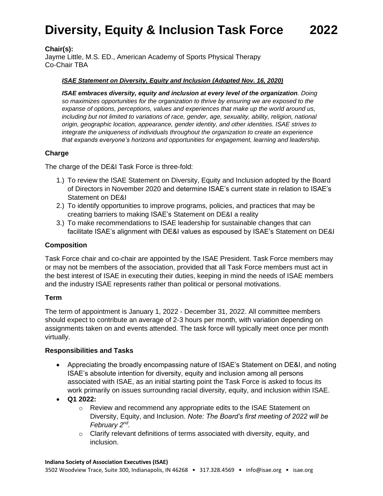# **Diversity, Equity & Inclusion Task Force 2022**

## **Chair(s):**

Jayme Little, M.S. ED., American Academy of Sports Physical Therapy Co-Chair TBA

#### *ISAE Statement on Diversity, Equity and Inclusion (Adopted Nov. 16, 2020)*

*ISAE embraces diversity, equity and inclusion at every level of the organization. Doing so maximizes opportunities for the organization to thrive by ensuring we are exposed to the expanse of options, perceptions, values and experiences that make up the world around us, including but not limited to variations of race, gender, age, sexuality, ability, religion, national origin, geographic location, appearance, gender identity, and other identities. ISAE strives to integrate the uniqueness of individuals throughout the organization to create an experience that expands everyone's horizons and opportunities for engagement, learning and leadership.*

#### **Charge**

The charge of the DE&I Task Force is three-fold:

- 1.) To review the ISAE Statement on Diversity, Equity and Inclusion adopted by the Board of Directors in November 2020 and determine ISAE's current state in relation to ISAE's Statement on DE&I
- 2.) To identify opportunities to improve programs, policies, and practices that may be creating barriers to making ISAE's Statement on DE&I a reality
- 3.) To make recommendations to ISAE leadership for sustainable changes that can facilitate ISAE's alignment with DE&I values as espoused by ISAE's Statement on DE&I

## **Composition**

Task Force chair and co-chair are appointed by the ISAE President. Task Force members may or may not be members of the association, provided that all Task Force members must act in the best interest of ISAE in executing their duties, keeping in mind the needs of ISAE members and the industry ISAE represents rather than political or personal motivations.

#### **Term**

The term of appointment is January 1, 2022 - December 31, 2022. All committee members should expect to contribute an average of 2-3 hours per month, with variation depending on assignments taken on and events attended. The task force will typically meet once per month virtually.

#### **Responsibilities and Tasks**

- Appreciating the broadly encompassing nature of ISAE's Statement on DE&I, and noting ISAE's absolute intention for diversity, equity and inclusion among all persons associated with ISAE, as an initial starting point the Task Force is asked to focus its work primarily on issues surrounding racial diversity, equity, and inclusion within ISAE.
- **Q1 2022:** 
	- $\circ$  Review and recommend any appropriate edits to the ISAE Statement on Diversity, Equity, and Inclusion. *Note: The Board's first meeting of 2022 will be February 2nd .*
	- o Clarify relevant definitions of terms associated with diversity, equity, and inclusion.